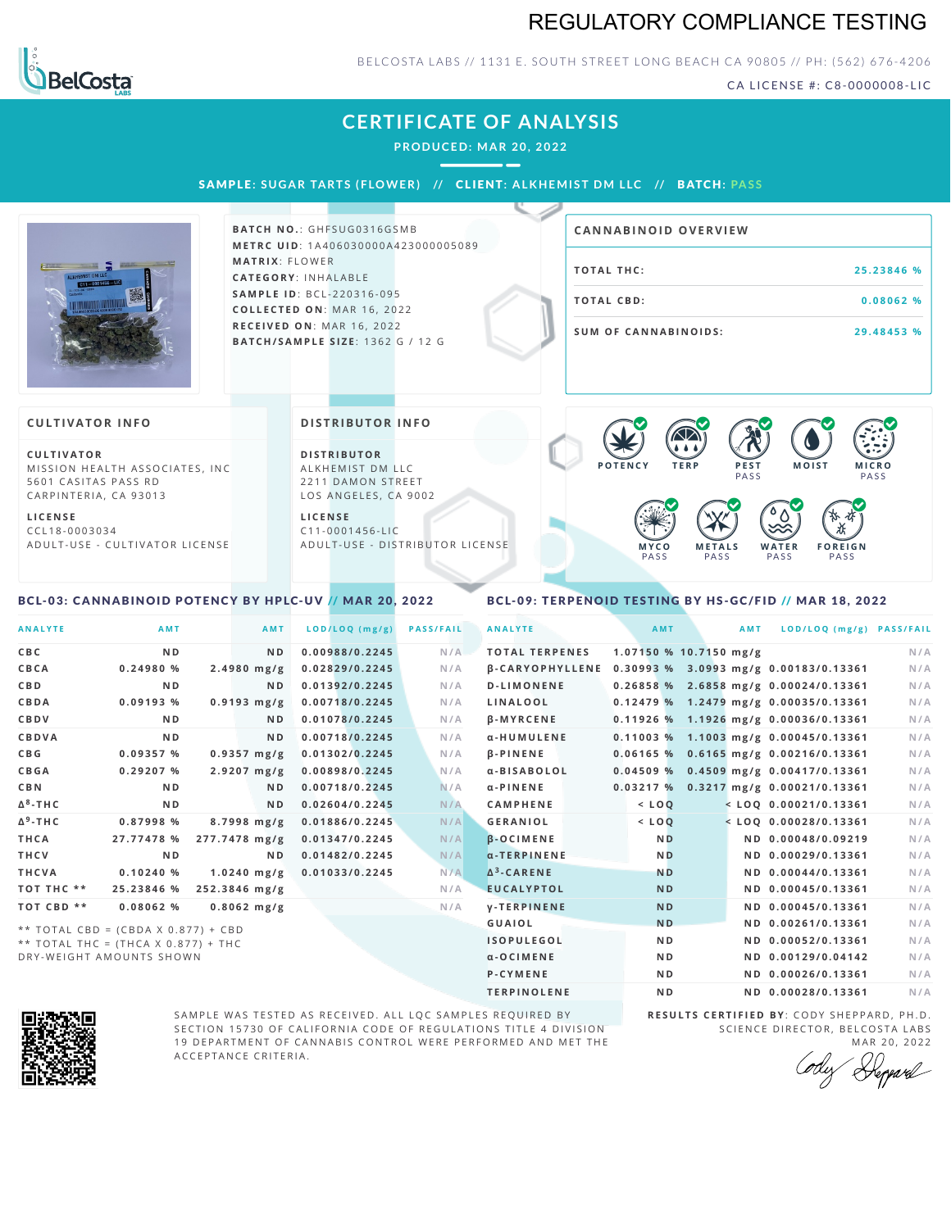### REGULATORY COMPLIANCE TESTING



#### BELCOSTA LABS // 1131 E. SOUTH STREET LONG BEACH C A 90805 // PH: (562) 676-4206

CA LICENSE #: C8-0000008-LIC

| <b>LABS</b>                                                                                           |                       |                                                                                     |                                               |                                         |
|-------------------------------------------------------------------------------------------------------|-----------------------|-------------------------------------------------------------------------------------|-----------------------------------------------|-----------------------------------------|
|                                                                                                       |                       | <b>CERTIFICATE OF ANALYSIS</b><br>PRODUCED: MAR 20, 2022                            |                                               |                                         |
|                                                                                                       |                       | SAMPLE: SUGAR TARTS (FLOWER) // CLIENT: ALKHEMIST DM LLC // BATCH: PASS             |                                               |                                         |
|                                                                                                       |                       | <b>BATCH NO.: GHFSUG0316GSMB</b><br><b>METRC UID: 1A406030000A423000005089</b>      | <b>CANNABINOID OVERVIEW</b>                   |                                         |
| $11 - 0001456 - 11$                                                                                   | <b>MATRIX: FLOWER</b> | <b>CATEGORY: INHALABLE</b>                                                          | <b>TOTAL THC:</b>                             | 25.23846 %                              |
|                                                                                                       |                       | <b>SAMPLE ID: BCL-220316-095</b><br><b>COLLECTED ON: MAR 16, 2022</b>               | <b>TOTAL CBD:</b>                             | 0.08062 %                               |
|                                                                                                       |                       | RECEIVED ON: MAR 16, 2022<br>BATCH/SAMPLE SIZE: 1362 G / 12 G                       | <b>SUM OF CANNABINOIDS:</b>                   | 29.48453 %                              |
| <b>CULTIVATOR INFO</b>                                                                                |                       | <b>DISTRIBUTOR INFO</b>                                                             |                                               |                                         |
| <b>CULTIVATOR</b><br>MISSION HEALTH ASSOCIATES, INC.<br>5601 CASITAS PASS RD<br>CARPINTERIA, CA 93013 |                       | <b>DISTRIBUTOR</b><br>ALKHEMIST DM LLC<br>2211 DAMON STREET<br>LOS ANGELES, CA 9002 | <b>POTENCY</b><br><b>TERP</b><br>PEST<br>PASS | <b>MICRO</b><br><b>MOIST</b><br>PASS    |
| <b>LICENSE</b><br>CCL18-0003034<br>ADULT-USE - CULTIVATOR LICENSE                                     |                       | <b>LICENSE</b><br>$C11 - 0001456 - LIC$<br>ADULT-USE - DISTRIBUTOR LICENSE          | MYCO<br><b>METALS</b><br>PASS<br>PASS         | WATER<br><b>FOREIGN</b><br>PASS<br>PASS |
|                                                                                                       |                       |                                                                                     |                                               |                                         |

### <span id="page-0-0"></span>BCL-03: CANNABINOID POTENCY BY HPLC-UV // MAR 20, 2022

### <span id="page-0-1"></span>BCL-09: TERPENOID TESTING BY HS-GC/FID // MAR 18, 2022

| <b>ANALYTE</b>  | <b>AMT</b>                            | AMT                   | LOD/LOQ (mg/g) | <b>PASS/FAIL</b> | <b>ANALYTE</b>         | AMT            | <b>AMT</b>               | LOD/LOQ (mg/g) PASS/FAIL              |     |
|-----------------|---------------------------------------|-----------------------|----------------|------------------|------------------------|----------------|--------------------------|---------------------------------------|-----|
| <b>CBC</b>      | N <sub>D</sub>                        | N <sub>D</sub>        | 0.00988/0.2245 | N/A              | <b>TOTAL TERPENES</b>  |                | $1.07150$ % 10.7150 mg/g |                                       | N/A |
| CBCA            | 0.24980%                              | $2.4980$ mg/g         | 0.02829/0.2245 | N/A              | <b>B-CARYOPHYLLENE</b> |                |                          | 0.30993 % 3.0993 mg/g 0.00183/0.13361 | N/A |
| <b>CBD</b>      | N <sub>D</sub>                        | ND.                   | 0.01392/0.2245 | N/A              | <b>D-LIMONENE</b>      |                |                          | 0.26858 % 2.6858 mg/g 0.00024/0.13361 | N/A |
| <b>CBDA</b>     | 0.09193 %                             | $0.9193$ mg/g         | 0.00718/0.2245 | N/A              | LINALOOL               |                |                          | 0.12479 % 1.2479 mg/g 0.00035/0.13361 | N/A |
| CBDV            | N <sub>D</sub>                        | ND.                   | 0.01078/0.2245 | N/A              | $\beta$ -MYRCENE       |                |                          | 0.11926 % 1.1926 mg/g 0.00036/0.13361 | N/A |
| <b>CBDVA</b>    | N <sub>D</sub>                        | ND.                   | 0.00718/0.2245 | N/A              | α-HUMULENE             | 0.11003%       |                          | 1.1003 mg/g 0.00045/0.13361           | N/A |
| <b>CBG</b>      | 0.09357%                              | $0.9357 \text{ mg/g}$ | 0.01302/0.2245 | N/A              | $\beta$ -PINENE        | 0.06165%       |                          | $0.6165$ mg/g $0.00216/0.13361$       | N/A |
| <b>CBGA</b>     | 0.29207%                              | $2.9207 \text{ mg/g}$ | 0.00898/0.2245 | N/A              | α-BISABOLOL            | 0.04509%       |                          | 0.4509 mg/g 0.00417/0.13361           | N/A |
| <b>CBN</b>      | N <sub>D</sub>                        | ND.                   | 0.00718/0.2245 | N/A              | $\alpha$ -PINENE       | 0.03217%       |                          | 0.3217 mg/g 0.00021/0.13361           | N/A |
| $\Delta^8$ -THC | N <sub>D</sub>                        | ND.                   | 0.02604/0.2245 | N/A              | <b>CAMPHENE</b>        | $<$ LOQ        |                          | $<$ LOQ 0.00021/0.13361               | N/A |
| $\Delta^9$ -THC | 0.87998 %                             | $8.7998$ mg/g         | 0.01886/0.2245 | N/A              | <b>GERANIOL</b>        | $<$ LOQ        |                          | $<$ LOQ 0.00028/0.13361               | N/A |
| THCA            | 27.77478 %                            | 277.7478 mg/g         | 0.01347/0.2245 | N/A              | $\beta$ -OCIMENE       | ND.            |                          | ND 0.00048/0.09219                    | N/A |
| <b>THCV</b>     | N <sub>D</sub>                        | N D                   | 0.01482/0.2245 | N/A              | a-TERPINENE            | <b>ND</b>      |                          | ND 0.00029/0.13361                    | N/A |
| THCVA           | 0.10240%                              | $1.0240$ mg/g         | 0.01033/0.2245 | N/A              | $\Delta^3$ -CARENE     | <b>ND</b>      |                          | ND 0.00044/0.13361                    | N/A |
| TOT THC **      | 25.23846 %                            | 252.3846 mg/g         |                | N/A              | <b>EUCALYPTOL</b>      | <b>ND</b>      |                          | ND 0.00045/0.13361                    | N/A |
| TOT CBD **      | 0.08062 %                             | $0.8062$ mg/g         |                | N/A              | <b>V-TERPINENE</b>     | <b>ND</b>      |                          | ND 0.00045/0.13361                    | N/A |
|                 | ** TOTAL CBD = $(CBDA X 0.877) + CBD$ |                       |                |                  | <b>GUAIOL</b>          | <b>ND</b>      |                          | ND 0.00261/0.13361                    | N/A |
|                 | ** TOTAL THC = (THCA X 0.877) + THC   |                       |                |                  | <b>ISOPULEGOL</b>      | N <sub>D</sub> |                          | ND 0.00052/0.13361                    | N/A |
|                 | DRY-WEIGHT AMOUNTS SHOWN              |                       |                |                  | $a - O$ C I M E N E    | N <sub>D</sub> |                          | ND 0.00129/0.04142                    | N/A |



SAMPLE WAS TESTED AS RECEIVED. ALL LQC SAMPLES REQUIRED BY SECTION 15730 OF CALIFORNIA CODE OF REGULATIONS TITLE 4 DIVISION 19 DEPARTMENT OF CANNABIS CONTROL WERE PERFORMED AND MET THE A C C E P T A N C E C R I T E R I A.

**R E S U L T S C E R T I F I E D BY** : C O D Y S H E P P A R D ,P H .D . SCIENCE DIRECTOR, BELCOSTA LABS

P-CYMENE ND ND ND 0.00026/0.13361 N/A TERPINOLENE ND ND 0.00028/0.13361 N/A

MAR 20, 2022<br>Heppard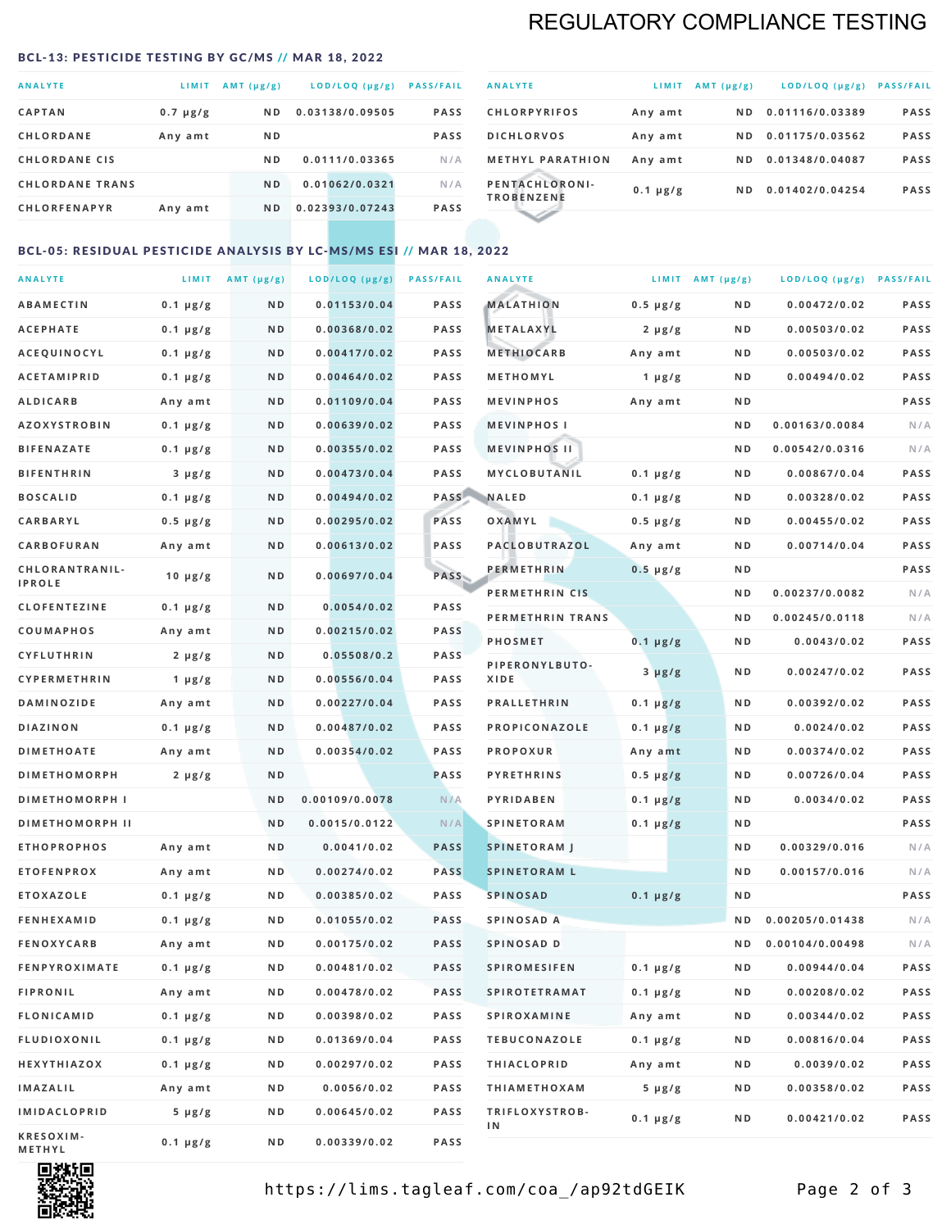## REGULATORY COMPLIANCE TESTING

#### <span id="page-1-0"></span>BCL-13: PESTICIDE TESTING BY GC/MS // MAR 18, 2022

| <b>ANALYTE</b>         | LIMIT         | $AMT(\mu g/g)$ | LOD/LOQ (µg/g)  | <b>PASS/FAIL</b> |
|------------------------|---------------|----------------|-----------------|------------------|
| <b>CAPTAN</b>          | $0.7 \mu g/g$ | N <sub>D</sub> | 0.03138/0.09505 | <b>PASS</b>      |
| <b>CHLORDANE</b>       | Any amt       | N <sub>D</sub> |                 | <b>PASS</b>      |
| <b>CHLORDANE CIS</b>   |               | N <sub>D</sub> | 0.0111/0.03365  | N/A              |
| <b>CHLORDANE TRANS</b> |               | N <sub>D</sub> | 0.01062/0.0321  | N/A              |
| <b>CHLORFENAPYR</b>    | Any amt       | N <sub>D</sub> | 0.02393/0.07243 | <b>PASS</b>      |

| <b>ANALYTE</b>                      | LIMIT         | AMT $(\mu g/g)$ | $LOD/LOQ$ ( $\mu g/g$ ) | <b>PASS/FAIL</b> |
|-------------------------------------|---------------|-----------------|-------------------------|------------------|
| <b>CHLORPYRIFOS</b>                 | Any amt       | N D             | 0.01116/0.03389         | <b>PASS</b>      |
| <b>DICHLORVOS</b>                   | Any amt       | ND.             | 0.01175/0.03562         | <b>PASS</b>      |
| <b>METHYL PARATHION</b>             | Any amt       | ND.             | 0.01348/0.04087         | <b>PASS</b>      |
| PENTACHLORONI-<br><b>TROBENZENE</b> | $0.1 \mu g/g$ | ND.             | 0.01402/0.04254         | <b>PASS</b>      |
|                                     |               |                 |                         |                  |

### BCL-05: RESIDUAL PESTICIDE ANALYSIS BY LC-MS/MS ESI // MAR 18, 2022

| <b>ANALYTE</b>         |                  | LIMIT $AMT (\mu g/g)$ | LOD/LOQ (µg/g) | <b>PASS/FAIL</b> | <b>ANALYTE</b>       |                  | LIMIT AMT $(\mu g/g)$ | LOD/LOQ (µg/g) PASS/FAIL |             |
|------------------------|------------------|-----------------------|----------------|------------------|----------------------|------------------|-----------------------|--------------------------|-------------|
| <b>ABAMECTIN</b>       | $0.1 \mu g/g$    | N D                   | 0.01153/0.04   | <b>PASS</b>      | <b>MALATHION</b>     | $0.5 \mu g/g$    | N D                   | 0.00472/0.02             | <b>PASS</b> |
| <b>ACEPHATE</b>        | $0.1 \mu g/g$    | N D                   | 0.00368/0.02   | <b>PASS</b>      | <b>METALAXYL</b>     | $2 \mu g/g$      | N D                   | 0.00503/0.02             | PASS        |
| ACEQUINOCYL            | $0.1 \mu g/g$    | N D                   | 0.00417/0.02   | <b>PASS</b>      | <b>METHIOCARB</b>    | Any amt          | N D                   | 0.00503/0.02             | PASS        |
| <b>ACETAMIPRID</b>     | $0.1 \mu g/g$    | N D                   | 0.00464/0.02   | PASS             | METHOMYL             | 1 $\mu$ g/g      | N D                   | 0.00494/0.02             | PASS        |
| <b>ALDICARB</b>        | Any amt          | ND                    | 0.01109/0.04   | <b>PASS</b>      | <b>MEVINPHOS</b>     | Any amt          | N D                   |                          | PASS        |
| <b>AZOXYSTROBIN</b>    | $0.1 \mu g/g$    | N D                   | 0.00639/0.02   | <b>PASS</b>      | <b>MEVINPHOSI</b>    |                  | N D                   | 0.00163/0.0084           | N/A         |
| <b>BIFENAZATE</b>      | $0.1 \mu g/g$    | N D                   | 0.00355/0.02   | <b>PASS</b>      | <b>MEVINPHOS II</b>  |                  | N D                   | 0.00542/0.0316           | N/A         |
| <b>BIFENTHRIN</b>      | $3 \mu g/g$      | ND                    | 0.00473/0.04   | <b>PASS</b>      | MYCLOBUTANIL         | $0.1 \mu g/g$    | N D                   | 0.00867/0.04             | PASS        |
| <b>BOSCALID</b>        | $0.1 \mu g/g$    | N D                   | 0.00494/0.02   |                  | PASS NALED           | 0.1 µg/g         | N D                   | 0.00328/0.02             | PASS        |
| CARBARYL               | $0.5 \, \mu g/g$ | N D                   | 0.00295/0.02   | PASS             | OXAMYL               | $0.5 \, \mu g/g$ | N D                   | 0.00455/0.02             | PASS        |
| CARBOFURAN             | Any amt          | N D                   | 0.00613/0.02   | PASS             | PACLOBUTRAZOL        | Any amt          | N D                   | 0.00714/0.04             | PASS        |
| CHLORANTRANIL-         | $10 \mu g/g$     | N D                   | 0.00697/0.04   | PASS             | <b>PERMETHRIN</b>    | $0.5 \mu g/g$    | N D                   |                          | PASS        |
| <b>IPROLE</b>          |                  |                       |                |                  | PERMETHRIN CIS       |                  | N D                   | 0.00237/0.0082           | N/A         |
| <b>CLOFENTEZINE</b>    | $0.1 \mu g/g$    | N D                   | 0.0054/0.02    | <b>PASS</b>      | PERMETHRIN TRANS     |                  | N D                   | 0.00245/0.0118           | N/A         |
| COUMAPHOS              | Any amt          | N D                   | 0.00215/0.02   | PASS             | <b>PHOSMET</b>       | $0.1 \mu g/g$    | N D                   | 0.0043/0.02              | PASS        |
| CYFLUTHRIN             | $2 \mu g/g$      | N D                   | 0.05508/0.2    | <b>PASS</b>      | PIPERONYLBUTO-       | $3 \mu g/g$      | N D                   | 0.00247/0.02             | PASS        |
| <b>CYPERMETHRIN</b>    | $1 \mu g/g$      | N D                   | 0.00556/0.04   | <b>PASS</b>      | XIDE                 |                  |                       |                          |             |
| <b>DAMINOZIDE</b>      | Any amt          | N D                   | 0.00227/0.04   | PASS             | <b>PRALLETHRIN</b>   | $0.1 \mu g/g$    | N D                   | 0.00392/0.02             | PASS        |
| <b>DIAZINON</b>        | $0.1 \mu g/g$    | N D                   | 0.00487/0.02   | <b>PASS</b>      | PROPICONAZOLE        | $0.1 \mu g/g$    | N D                   | 0.0024/0.02              | PASS        |
| <b>DIMETHOATE</b>      | Any amt          | N D                   | 0.00354/0.02   | <b>PASS</b>      | <b>PROPOXUR</b>      | Any amt          | N D                   | 0.00374/0.02             | PASS        |
| <b>DIMETHOMORPH</b>    | $2 \mu g/g$      | N D                   |                | <b>PASS</b>      | <b>PYRETHRINS</b>    | $0.5 \mu g/g$    | N D                   | 0.00726/0.04             | PASS        |
| <b>DIMETHOMORPH I</b>  |                  | N D                   | 0.00109/0.0078 | N/A              | <b>PYRIDABEN</b>     | $0.1 \mu g/g$    | N D                   | 0.0034/0.02              | PASS        |
| <b>DIMETHOMORPH II</b> |                  | ND                    | 0.0015/0.0122  | N/A              | <b>SPINETORAM</b>    | $0.1 \mu g/g$    | N D                   |                          | PASS        |
| <b>ETHOPROPHOS</b>     | Any amt          | N D                   | 0.0041/0.02    | <b>PASS</b>      | <b>SPINETORAM J</b>  |                  | N D                   | 0.00329/0.016            | N/A         |
| <b>ETOFENPROX</b>      | Any amt          | N D                   | 0.00274/0.02   | <b>PASS</b>      | <b>SPINETORAM L</b>  |                  | N D                   | 0.00157/0.016            | N/A         |
| <b>ETOXAZOLE</b>       | $0.1 \mu g/g$    | N D                   | 0.00385/0.02   | PASS             | <b>SPINOSAD</b>      | $0.1 \mu g/g$    | N D                   |                          | PASS        |
| <b>FENHEXAMID</b>      | $0.1 \mu g/g$    | N D                   | 0.01055/0.02   | <b>PASS</b>      | SPINOSAD A           |                  | N D                   | 0.00205/0.01438          | N/A         |
| <b>FENOXYCARB</b>      | Any amt          | ND.                   | 0.00175/0.02   | <b>PASS</b>      | SPINOSAD D           |                  | N D                   | 0.00104/0.00498          | N/A         |
| <b>FENPYROXIMATE</b>   | 0.1 µg/g         | N D                   | 0.00481/0.02   | <b>PASS</b>      | SPIROMESIFEN         | 0.1 µg/g         | N D                   | 0.00944/0.04             | PASS        |
| <b>FIPRONIL</b>        | Any amt          | N D                   | 0.00478/0.02   | PASS             | <b>SPIROTETRAMAT</b> | $0.1 \, \mu g/g$ | N D                   | 0.00208/0.02             | PASS        |
| FLONICAMID             | $0.1 \mu g/g$    | N D                   | 0.00398/0.02   | PASS             | SPIROXAMINE          | Any amt          | N D                   | 0.00344/0.02             | PASS        |
| <b>FLUDIOXONIL</b>     | $0.1 \mu g/g$    | N D                   | 0.01369/0.04   | PASS             | <b>TEBUCONAZOLE</b>  | $0.1 \mu g/g$    | N D                   | 0.00816/0.04             | PASS        |
| HEXYTHIAZOX            | $0.1 \mu g/g$    | N D                   | 0.00297/0.02   | PASS             | <b>THIACLOPRID</b>   | Any amt          | N D                   | 0.0039/0.02              | PASS        |
| <b>IMAZALIL</b>        | Any amt          | N D                   | 0.0056/0.02    | PASS             | <b>THIAMETHOXAM</b>  | $5 \mu g/g$      | N D                   | 0.00358/0.02             | PASS        |
| <b>IMIDACLOPRID</b>    | 5 µg/g           | N D                   | 0.00645/0.02   | <b>PASS</b>      | TRIFLOXYSTROB-<br>ΙN | $0.1 \mu g/g$    | N D                   | 0.00421/0.02             | PASS        |
| KRESOXIM-<br>METHYL    | $0.1 \mu g/g$    | N D                   | 0.00339/0.02   | PASS             |                      |                  |                       |                          |             |